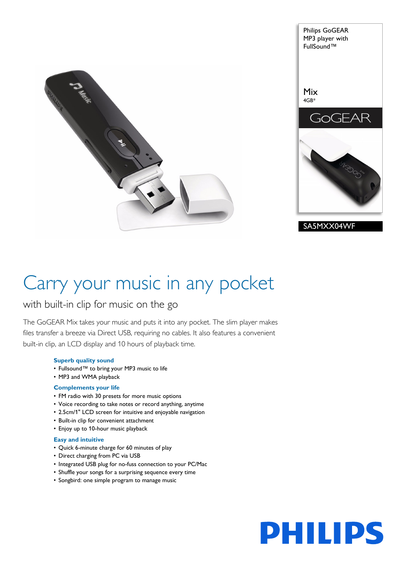



# Carry your music in any pocket

# with built-in clip for music on the go

The GoGEAR Mix takes your music and puts it into any pocket. The slim player makes files transfer a breeze via Direct USB, requiring no cables. It also features a convenient built-in clip, an LCD display and 10 hours of playback time.

# **Superb quality sound**

- Fullsound™ to bring your MP3 music to life
- MP3 and WMA playback

# **Complements your life**

- FM radio with 30 presets for more music options
- Voice recording to take notes or record anything, anytime
- 2.5cm/1" LCD screen for intuitive and enjoyable navigation
- Built-in clip for convenient attachment
- Enjoy up to 10-hour music playback

# **Easy and intuitive**

- Quick 6-minute charge for 60 minutes of play
- Direct charging from PC via USB
- Integrated USB plug for no-fuss connection to your PC/Mac
- Shuffle your songs for a surprising sequence every time
- Songbird: one simple program to manage music

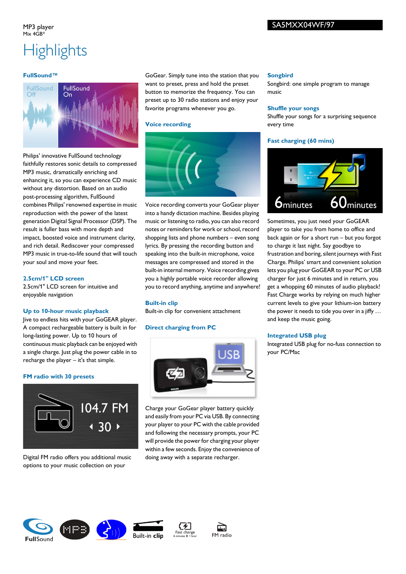# SA5MXX04WF/97

### MP3 player  $Mix 4GR*$

# **Highlights**

# **FullSound™**



Philips' innovative FullSound technology faithfully restores sonic details to compressed MP3 music, dramatically enriching and enhancing it, so you can experience CD music without any distortion. Based on an audio post-processing algorithm, FullSound combines Philips' renowned expertise in music reproduction with the power of the latest generation Digital Signal Processor (DSP). The result is fuller bass with more depth and impact, boosted voice and instrument clarity, and rich detail. Rediscover your compressed MP3 music in true-to-life sound that will touch your soul and move your feet.

# **2.5cm/1" LCD screen**

2.5cm/1" LCD screen for intuitive and enjoyable navigation

# **Up to 10-hour music playback**

Jive to endless hits with your GoGEAR player. A compact rechargeable battery is built in for long-lasting power. Up to 10 hours of continuous music playback can be enjoyed with a single charge. Just plug the power cable in to recharge the player – it's that simple.

# **FM radio with 30 presets**



Digital FM radio offers you additional music options to your music collection on your

GoGear. Simply tune into the station that you want to preset, press and hold the preset button to memorize the frequency. You can preset up to 30 radio stations and enjoy your favorite programs whenever you go.

### **Voice recording**



Voice recording converts your GoGear player into a handy dictation machine. Besides playing music or listening to radio, you can also record notes or reminders for work or school, record shopping lists and phone numbers – even song lyrics. By pressing the recording button and speaking into the built-in microphone, voice messages are compressed and stored in the built-in internal memory. Voice recording gives you a highly portable voice recorder allowing you to record anything, anytime and anywhere!

# **Built-in clip**

Built-in clip for convenient attachment

# **Direct charging from PC**



Charge your GoGear player battery quickly and easily from your PC via USB. By connecting your player to your PC with the cable provided and following the necessary prompts, your PC will provide the power for charging your player within a few seconds. Enjoy the convenience of doing away with a separate recharger.

### **Songbird**

Songbird: one simple program to manage music

### **Shuffle your songs**

Shuffle your songs for a surprising sequence every time

# **Fast charging (60 mins)**



Sometimes, you just need your GoGEAR player to take you from home to office and back again or for a short run – but you forgot to charge it last night. Say goodbye to frustration and boring, silent journeys with Fast Charge. Philips' smart and convenient solution lets you plug your GoGEAR to your PC or USB charger for just 6 minutes and in return, you get a whopping 60 minutes of audio playback! Fast Charge works by relying on much higher current levels to give your lithium-ion battery the power it needs to tide you over in a jiffy … and keep the music going.

# **Integrated USB plug**

Integrated USB plug for no-fuss connection to your PC/Mac